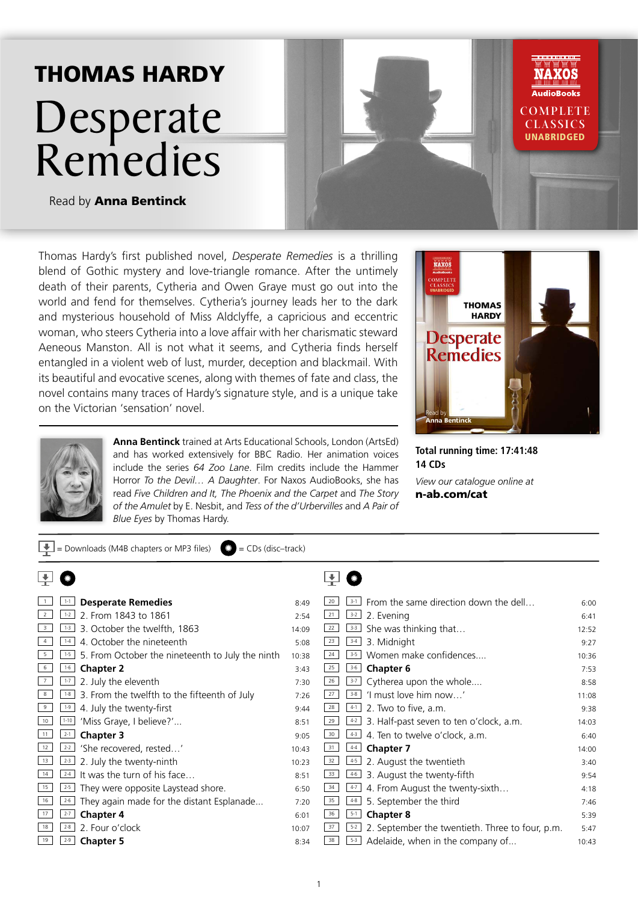## THOMAS HARDY Desperate Remedies



Read by Anna Bentinck

Thomas Hardy's first published novel, *Desperate Remedies* is a thrilling blend of Gothic mystery and love-triangle romance. After the untimely death of their parents, Cytheria and Owen Graye must go out into the world and fend for themselves. Cytheria's journey leads her to the dark and mysterious household of Miss Aldclyffe, a capricious and eccentric woman, who steers Cytheria into a love affair with her charismatic steward Aeneous Manston. All is not what it seems, and Cytheria finds herself entangled in a violent web of lust, murder, deception and blackmail. With its beautiful and evocative scenes, along with themes of fate and class, the novel contains many traces of Hardy's signature style, and is a unique take on the Victorian 'sensation' novel.

 $\Box$  = Downloads (M4B chapters or MP3 files)  $\Box$  = CDs (disc–track)



**Anna Bentinck** trained at Arts Educational Schools, London (ArtsEd) and has worked extensively for BBC Radio. Her animation voices include the series *64 Zoo Lane*. Film credits include the Hammer Horror *To the Devil… A Daughter*. For Naxos AudioBooks, she has read *Five Children and It, The Phoenix and the Carpet* and *The Story of the Amulet* by E. Nesbit, and *Tess of the d'Urbervilles* and *A Pair of Blue Eyes* by Thomas Hardy.



**Total running time: 17:41:48 14 CDs**

*View our catalogue online at* n-ab.com/cat

|                         | <b>Desperate Remedies</b><br>$1 - 1$                        | 8:49  | From the same direction down the dell<br>$3 - 1$                 | 6:00  |
|-------------------------|-------------------------------------------------------------|-------|------------------------------------------------------------------|-------|
| $\overline{2}$          | 2. From 1843 to 1861<br>$1 - 2$                             | 2:54  | 21<br>$3-2$<br>2. Evening                                        | 6:41  |
| $\overline{\mathbf{3}}$ | 3. October the twelfth, 1863<br>$1 - 3$                     | 14:09 | She was thinking that<br>22<br>$3 - 3$                           | 12:52 |
| $\overline{4}$          | 4. October the nineteenth<br>$1 - 4$                        | 5:08  | 23<br>3. Midnight<br>$3 - 4$                                     | 9:27  |
| 5                       | 5. From October the nineteenth to July the ninth<br>$1 - 5$ | 10:38 | Women make confidences<br>24<br>$3 - 5$                          | 10:36 |
| 6                       | $1 - 6$<br><b>Chapter 2</b>                                 | 3:43  | 25<br>$3 - 6$<br><b>Chapter 6</b>                                | 7:53  |
| 7                       | 2. July the eleventh<br>$1 - 7$                             | 7:30  | Cytherea upon the whole<br>26<br>$3 - 7$                         | 8:58  |
| 8                       | 3. From the twelfth to the fifteenth of July<br>$1 - 8$     | 7:26  | 27<br>'I must love him now'<br>$3 - 8$                           | 11:08 |
| 9                       | 4. July the twenty-first<br>$1 - 9$                         | 9:44  | 28<br>2. Two to five, a.m.<br>$4-1$                              | 9:38  |
| 10                      | 'Miss Graye, I believe?'<br>$1 - 10$                        | 8:51  | 29<br>3. Half-past seven to ten o'clock, a.m.<br>$4-2$           | 14:03 |
| 11                      | <b>Chapter 3</b><br>$2 - 1$                                 | 9:05  | 4. Ten to twelve o'clock, a.m.<br>30<br>$4-3$                    | 6:40  |
| 12                      | 'She recovered, rested'<br>$2 - 2$                          | 10:43 | 31<br><b>Chapter 7</b><br>$4 - 4$                                | 14:00 |
| 13                      | 2. July the twenty-ninth<br>$2 - 3$                         | 10:23 | 32<br>2. August the twentieth<br>$4-5$                           | 3:40  |
| 14                      | It was the turn of his face<br>$2 - 4$                      | 8:51  | 33<br>3. August the twenty-fifth<br>$4-6$                        | 9:54  |
| 15                      | They were opposite Laystead shore.<br>$2 - 5$               | 6:50  | 34<br>4. From August the twenty-sixth<br>$4-7$                   | 4:18  |
| 16                      | They again made for the distant Esplanade<br>$2 - 6$        | 7:20  | 5. September the third<br>35<br>$4 - 8$                          | 7:46  |
| 17                      | <b>Chapter 4</b><br>$2 - 7$                                 | 6:01  | <b>Chapter 8</b><br>36<br>$5-1$                                  | 5:39  |
| 18                      | 2. Four o'clock<br>$2 - 8$                                  | 10:07 | 2. September the twentieth. Three to four, p.m.<br>37<br>$5 - 2$ | 5:47  |
| 19                      | <b>Chapter 5</b><br>$2 - 9$                                 | 8:34  | Adelaide, when in the company of<br>38<br>$5-3$                  | 10:43 |
|                         |                                                             |       |                                                                  |       |